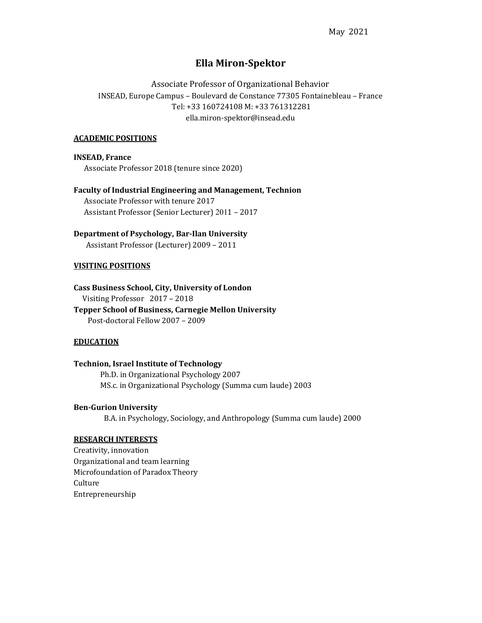# Ella Miron-Spektor

Associate Professor of Organizational Behavior INSEAD, Europe Campus – Boulevard de Constance 77305 Fontainebleau – France Tel: +33 160724108 M: +33 761312281 ella.miron-spektor@insead.edu

# ACADEMIC POSITIONS

INSEAD, France Associate Professor 2018 (tenure since 2020)

Faculty of Industrial Engineering and Management, Technion Associate Professor with tenure 2017 Assistant Professor (Senior Lecturer) 2011 – 2017

# Department of Psychology, Bar-Ilan University

Assistant Professor (Lecturer) 2009 – 2011

#### VISITING POSITIONS

Cass Business School, City, University of London Visiting Professor 2017 – 2018 Tepper School of Business, Carnegie Mellon University Post-doctoral Fellow 2007 – 2009

## **EDUCATION**

Technion, Israel Institute of Technology Ph.D. in Organizational Psychology 2007 MS.c. in Organizational Psychology (Summa cum laude) 2003

### Ben-Gurion University

B.A. in Psychology, Sociology, and Anthropology (Summa cum laude) 2000

### RESEARCH INTERESTS

Creativity, innovation Organizational and team learning Microfoundation of Paradox Theory Culture Entrepreneurship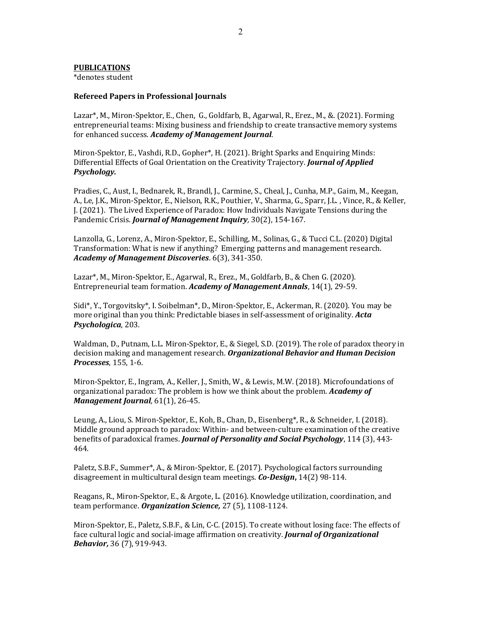#### PUBLICATIONS

\*denotes student

#### Refereed Papers in Professional Journals

Lazar\*, M., Miron-Spektor, E., Chen, G., Goldfarb, B., Agarwal, R., Erez., M., &. (2021). Forming entrepreneurial teams: Mixing business and friendship to create transactive memory systems for enhanced success. Academy of Management Journal.

Miron-Spektor, E., Vashdi, R.D., Gopher\*, H. (2021). Bright Sparks and Enquiring Minds: Differential Effects of Goal Orientation on the Creativity Trajectory. Journal of Applied Psychology.

Pradies, C., Aust, I., Bednarek, R., Brandl, J., Carmine, S., Cheal, J., Cunha, M.P., Gaim, M., Keegan, A., Le, J.K., Miron-Spektor, E., Nielson, R.K., Pouthier, V., Sharma, G., Sparr, J.L. , Vince, R., & Keller, J. (2021). The Lived Experience of Paradox: How Individuals Navigate Tensions during the Pandemic Crisis. Journal of Management Inquiry, 30(2), 154-167.

Lanzolla, G., Lorenz, A., Miron-Spektor, E., Schilling, M., Solinas, G., & Tucci C.L. (2020) Digital Transformation: What is new if anything? Emerging patterns and management research. Academy of Management Discoveries. 6(3), 341-350.

Lazar\*, M., Miron-Spektor, E., Agarwal, R., Erez., M., Goldfarb, B., & Chen G. (2020). Entrepreneurial team formation. Academy of Management Annals, 14(1), 29-59.

Sidi\*, Y., Torgovitsky\*, I. Soibelman\*, D., Miron-Spektor, E., Ackerman, R. (2020). You may be more original than you think: Predictable biases in self-assessment of originality. Acta Psychologica, 203.

Waldman, D., Putnam, L.L. Miron-Spektor, E., & Siegel, S.D. (2019). The role of paradox theory in decision making and management research. *Organizational Behavior and Human Decision* Processes, 155, 1-6.

Miron-Spektor, E., Ingram, A., Keller, J., Smith, W., & Lewis, M.W. (2018). Microfoundations of organizational paradox: The problem is how we think about the problem. Academy of Management Journal, 61(1), 26-45.

Leung, A., Liou, S. Miron-Spektor, E., Koh, B., Chan, D., Eisenberg\*, R., & Schneider, I. (2018). Middle ground approach to paradox: Within- and between-culture examination of the creative benefits of paradoxical frames. **Journal of Personality and Social Psychology**, 114 (3), 443-464.

Paletz, S.B.F., Summer\*, A., & Miron-Spektor, E. (2017). Psychological factors surrounding disagreement in multicultural design team meetings. Co-Design, 14(2) 98-114.

Reagans, R., Miron-Spektor, E., & Argote, L. (2016). Knowledge utilization, coordination, and team performance. Organization Science, 27 (5), 1108-1124.

Miron-Spektor, E., Paletz, S.B.F., & Lin, C-C. (2015). To create without losing face: The effects of face cultural logic and social-image affirmation on creativity. **Journal of Organizational** Behavior, 36 (7), 919-943.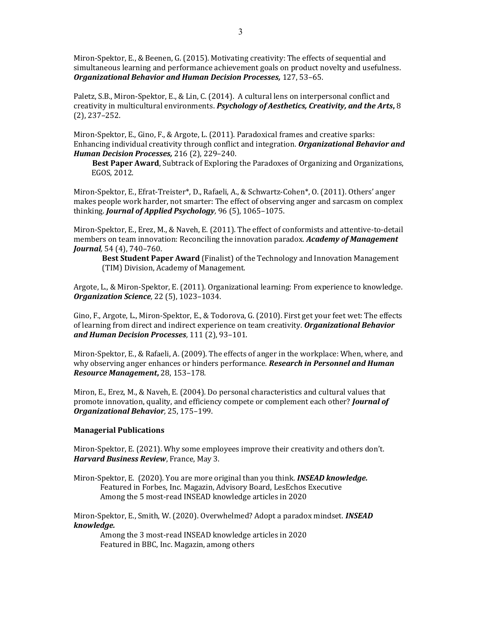Miron-Spektor, E., & Beenen, G. (2015). Motivating creativity: The effects of sequential and simultaneous learning and performance achievement goals on product novelty and usefulness. Organizational Behavior and Human Decision Processes, 127, 53–65.

Paletz, S.B., Miron-Spektor, E., & Lin, C. (2014). A cultural lens on interpersonal conflict and creativity in multicultural environments. Psychology of Aesthetics, Creativity, and the Arts, 8 (2), 237–252.

Miron-Spektor, E., Gino, F., & Argote, L. (2011). Paradoxical frames and creative sparks: Enhancing individual creativity through conflict and integration. Organizational Behavior and Human Decision Processes, 216 (2), 229-240.

 Best Paper Award, Subtrack of Exploring the Paradoxes of Organizing and Organizations, EGOS, 2012.

Miron-Spektor, E., Efrat-Treister\*, D., Rafaeli, A., & Schwartz-Cohen\*, O. (2011). Others' anger makes people work harder, not smarter: The effect of observing anger and sarcasm on complex thinking. Journal of Applied Psychology, 96 (5), 1065-1075.

Miron-Spektor, E., Erez, M., & Naveh, E. (2011). The effect of conformists and attentive-to-detail members on team innovation: Reconciling the innovation paradox. Academy of Management Journal, 54 (4), 740–760.

 Best Student Paper Award (Finalist) of the Technology and Innovation Management (TIM) Division, Academy of Management.

Argote, L., & Miron-Spektor, E. (2011). Organizational learning: From experience to knowledge. Organization Science, 22 (5), 1023–1034.

Gino, F., Argote, L., Miron-Spektor, E., & Todorova, G. (2010). First get your feet wet: The effects of learning from direct and indirect experience on team creativity. Organizational Behavior and Human Decision Processes, 111 (2), 93–101.

Miron-Spektor, E., & Rafaeli, A. (2009). The effects of anger in the workplace: When, where, and why observing anger enhances or hinders performance. Research in Personnel and Human Resource Management, 28, 153–178.

Miron, E., Erez, M., & Naveh, E. (2004). Do personal characteristics and cultural values that promote innovation, quality, and efficiency compete or complement each other? *Journal of* Organizational Behavior, 25, 175–199.

#### Managerial Publications

Miron-Spektor, E. (2021). Why some employees improve their creativity and others don't. Harvard Business Review, France, May 3.

Miron-Spektor, E. (2020). You are more original than you think. **INSEAD knowledge.** Featured in Forbes, Inc. Magazin, Advisory Board, LesEchos Executive Among the 5 most-read INSEAD knowledge articles in 2020

Miron-Spektor, E., Smith, W. (2020). Overwhelmed? Adopt a paradox mindset. **INSEAD** knowledge.

Among the 3 most-read INSEAD knowledge articles in 2020 Featured in BBC, Inc. Magazin, among others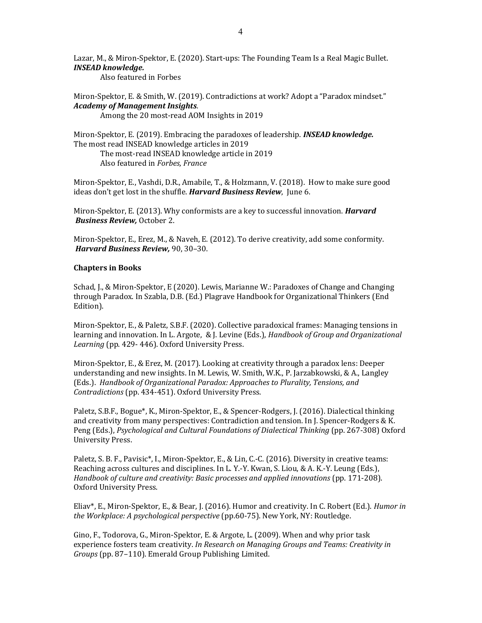Lazar, M., & Miron-Spektor, E. (2020). Start-ups: The Founding Team Is a Real Magic Bullet. INSEAD knowledge.

Also featured in Forbes

Miron-Spektor, E. & Smith, W. (2019). Contradictions at work? Adopt a "Paradox mindset." Academy of Management Insights.

Among the 20 most-read AOM Insights in 2019

Miron-Spektor, E. (2019). Embracing the paradoxes of leadership. **INSEAD knowledge.** The most read INSEAD knowledge articles in 2019

The most-read INSEAD knowledge article in 2019 Also featured in Forbes, France

Miron-Spektor, E., Vashdi, D.R., Amabile, T., & Holzmann, V. (2018). How to make sure good ideas don't get lost in the shuffle. Harvard Business Review, June 6.

Miron-Spektor, E. (2013). Why conformists are a key to successful innovation. *Harvard* Business Review, October 2.

Miron-Spektor, E., Erez, M., & Naveh, E. (2012). To derive creativity, add some conformity. Harvard Business Review, 90, 30–30.

#### Chapters in Books

Schad, J., & Miron-Spektor, E (2020). Lewis, Marianne W.: Paradoxes of Change and Changing through Paradox. In Szabla, D.B. (Ed.) Plagrave Handbook for Organizational Thinkers (End Edition).

Miron-Spektor, E., & Paletz, S.B.F. (2020). Collective paradoxical frames: Managing tensions in learning and innovation. In L. Argote, & J. Levine (Eds.), Handbook of Group and Organizational Learning (pp. 429- 446). Oxford University Press.

Miron-Spektor, E., & Erez, M. (2017). Looking at creativity through a paradox lens: Deeper understanding and new insights. In M. Lewis, W. Smith, W.K., P. Jarzabkowski, & A., Langley (Eds.). Handbook of Organizational Paradox: Approaches to Plurality, Tensions, and Contradictions (pp. 434-451). Oxford University Press.

Paletz, S.B.F., Bogue\*, K., Miron-Spektor, E., & Spencer-Rodgers, J. (2016). Dialectical thinking and creativity from many perspectives: Contradiction and tension. In J. Spencer-Rodgers & K. Peng (Eds.), Psychological and Cultural Foundations of Dialectical Thinking (pp. 267-308) Oxford University Press.

Paletz, S. B. F., Pavisic\*, I., Miron-Spektor, E., & Lin, C.-C. (2016). Diversity in creative teams: Reaching across cultures and disciplines. In L. Y.-Y. Kwan, S. Liou, & A. K.-Y. Leung (Eds.), Handbook of culture and creativity: Basic processes and applied innovations (pp. 171-208). Oxford University Press.

Eliav\*, E., Miron-Spektor, E., & Bear, J. (2016). Humor and creativity. In C. Robert (Ed.). Humor in the Workplace: A psychological perspective (pp.60-75). New York, NY: Routledge.

Gino, F., Todorova, G., Miron-Spektor, E. & Argote, L. (2009). When and why prior task experience fosters team creativity. In Research on Managing Groups and Teams: Creativity in Groups (pp. 87–110). Emerald Group Publishing Limited.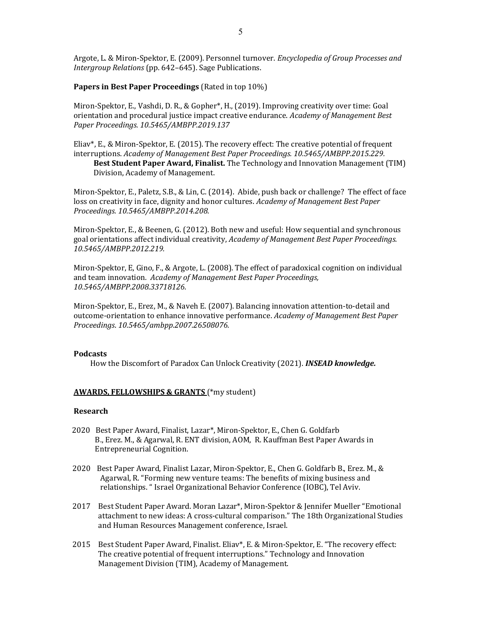Argote, L. & Miron-Spektor, E. (2009). Personnel turnover. *Encyclopedia of Group Processes and* Intergroup Relations (pp. 642–645). Sage Publications.

Papers in Best Paper Proceedings (Rated in top 10%)

Miron-Spektor, E., Vashdi, D. R., & Gopher\*, H., (2019). Improving creativity over time: Goal orientation and procedural justice impact creative endurance. Academy of Management Best Paper Proceedings. 10.5465/AMBPP.2019.137

Eliav\*, E., & Miron-Spektor, E. (2015). The recovery effect: The creative potential of frequent interruptions. Academy of Management Best Paper Proceedings. 10.5465/AMBPP.2015.229. Best Student Paper Award, Finalist. The Technology and Innovation Management (TIM) Division, Academy of Management.

Miron-Spektor, E., Paletz, S.B., & Lin, C. (2014). Abide, push back or challenge? The effect of face loss on creativity in face, dignity and honor cultures. Academy of Management Best Paper Proceedings. 10.5465/AMBPP.2014.208.

Miron-Spektor, E., & Beenen, G. (2012). Both new and useful: How sequential and synchronous goal orientations affect individual creativity, Academy of Management Best Paper Proceedings. 10.5465/AMBPP.2012.219.

Miron-Spektor, E, Gino, F., & Argote, L. (2008). The effect of paradoxical cognition on individual and team innovation. Academy of Management Best Paper Proceedings, 10.5465/AMBPP.2008.33718126.

Miron-Spektor, E., Erez, M., & Naveh E. (2007). Balancing innovation attention-to-detail and outcome-orientation to enhance innovative performance. Academy of Management Best Paper Proceedings. 10.5465/ambpp.2007.26508076.

#### Podcasts

How the Discomfort of Paradox Can Unlock Creativity (2021). INSEAD knowledge.

### AWARDS, FELLOWSHIPS & GRANTS (\*my student)

#### Research

- 2020 Best Paper Award, Finalist, Lazar\*, Miron-Spektor, E., Chen G. Goldfarb B., Erez. M., & Agarwal, R. ENT division, AOM, R. Kauffman Best Paper Awards in Entrepreneurial Cognition.
- 2020 Best Paper Award, Finalist Lazar, Miron-Spektor, E., Chen G. Goldfarb B., Erez. M., & Agarwal, R. "Forming new venture teams: The benefits of mixing business and relationships. " Israel Organizational Behavior Conference (IOBC), Tel Aviv.
- 2017 Best Student Paper Award. Moran Lazar\*, Miron-Spektor & Jennifer Mueller "Emotional attachment to new ideas: A cross-cultural comparison." The 18th Organizational Studies and Human Resources Management conference, Israel.
- 2015 Best Student Paper Award, Finalist. Eliav\*, E. & Miron-Spektor, E. "The recovery effect: The creative potential of frequent interruptions." Technology and Innovation Management Division (TIM), Academy of Management.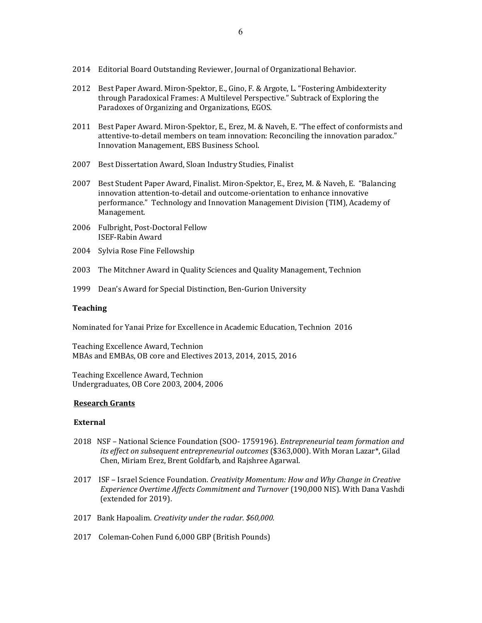- 2014 Editorial Board Outstanding Reviewer, Journal of Organizational Behavior.
- 2012 Best Paper Award. Miron-Spektor, E., Gino, F. & Argote, L. "Fostering Ambidexterity through Paradoxical Frames: A Multilevel Perspective." Subtrack of Exploring the Paradoxes of Organizing and Organizations, EGOS.
- 2011 Best Paper Award. Miron-Spektor, E., Erez, M. & Naveh, E. "The effect of conformists and attentive-to-detail members on team innovation: Reconciling the innovation paradox." Innovation Management, EBS Business School.
- 2007 Best Dissertation Award, Sloan Industry Studies, Finalist
- 2007 Best Student Paper Award, Finalist. Miron-Spektor, E., Erez, M. & Naveh, E. "Balancing innovation attention-to-detail and outcome-orientation to enhance innovative performance." Technology and Innovation Management Division (TIM), Academy of Management.
- 2006 Fulbright, Post-Doctoral Fellow ISEF-Rabin Award
- 2004 Sylvia Rose Fine Fellowship
- 2003 The Mitchner Award in Quality Sciences and Quality Management, Technion
- 1999 Dean's Award for Special Distinction, Ben-Gurion University

#### **Teaching**

Nominated for Yanai Prize for Excellence in Academic Education, Technion 2016

Teaching Excellence Award, Technion MBAs and EMBAs, OB core and Electives 2013, 2014, 2015, 2016

Teaching Excellence Award, Technion Undergraduates, OB Core 2003, 2004, 2006

#### Research Grants

#### **External**

- 2018 NSF National Science Foundation (SOO- 1759196). Entrepreneurial team formation and its effect on subsequent entrepreneurial outcomes (\$363,000). With Moran Lazar\*, Gilad Chen, Miriam Erez, Brent Goldfarb, and Rajshree Agarwal.
- 2017 ISF Israel Science Foundation. Creativity Momentum: How and Why Change in Creative Experience Overtime Affects Commitment and Turnover (190,000 NIS). With Dana Vashdi (extended for 2019).
- 2017 Bank Hapoalim. Creativity under the radar. \$60,000.
- 2017 Coleman-Cohen Fund 6,000 GBP (British Pounds)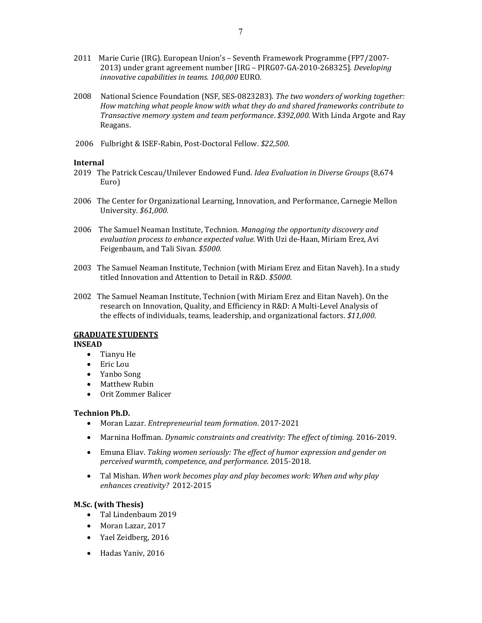- 2011 Marie Curie (IRG). European Union's Seventh Framework Programme (FP7/2007- 2013) under grant agreement number [IRG – PIRG07-GA-2010-268325]. Developing innovative capabilities in teams. 100,000 EURO.
- 2008 National Science Foundation (NSF, SES-0823283). The two wonders of working together: How matching what people know with what they do and shared frameworks contribute to Transactive memory system and team performance. \$392,000. With Linda Argote and Ray Reagans.
- 2006 Fulbright & ISEF-Rabin, Post-Doctoral Fellow. \$22,500.

#### Internal

- 2019 The Patrick Cescau/Unilever Endowed Fund. Idea Evaluation in Diverse Groups (8,674 Euro)
- 2006 The Center for Organizational Learning, Innovation, and Performance, Carnegie Mellon University. \$61,000.
- 2006 The Samuel Neaman Institute, Technion. Managing the opportunity discovery and evaluation process to enhance expected value. With Uzi de-Haan, Miriam Erez, Avi Feigenbaum, and Tali Sivan. \$5000.
- 2003 The Samuel Neaman Institute, Technion (with Miriam Erez and Eitan Naveh). In a study titled Innovation and Attention to Detail in R&D. \$5000.
- 2002 The Samuel Neaman Institute, Technion (with Miriam Erez and Eitan Naveh). On the research on Innovation, Quality, and Efficiency in R&D: A Multi-Level Analysis of the effects of individuals, teams, leadership, and organizational factors. \$11,000.

#### GRADUATE STUDENTS

#### INSEAD

- Tianyu He
- Eric Lou
- Yanbo Song
- Matthew Rubin
- Orit Zommer Balicer

#### Technion Ph.D.

- Moran Lazar. Entrepreneurial team formation. 2017-2021
- Marnina Hoffman. Dynamic constraints and creativity: The effect of timing. 2016-2019.
- Emuna Eliav. Taking women seriously: The effect of humor expression and gender on perceived warmth, competence, and performance. 2015-2018.
- Tal Mishan. When work becomes play and play becomes work: When and why play enhances creativity? 2012-2015

#### M.Sc. (with Thesis)

- Tal Lindenbaum 2019
- Moran Lazar, 2017
- Yael Zeidberg, 2016
- Hadas Yaniv, 2016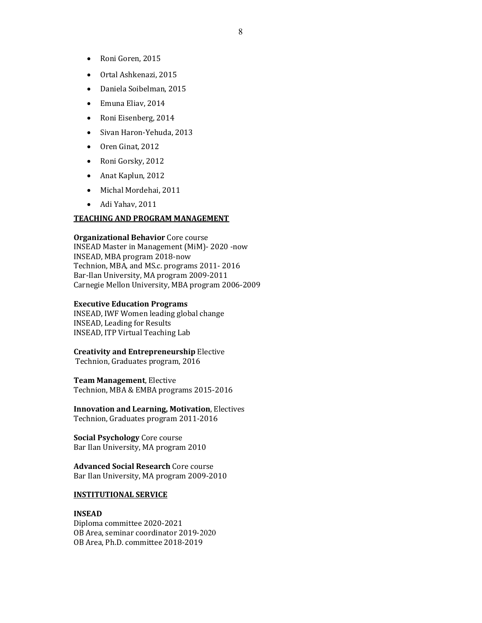- Ortal Ashkenazi, 2015
- Daniela Soibelman, 2015
- Emuna Eliav, 2014
- Roni Eisenberg, 2014
- Sivan Haron-Yehuda, 2013
- Oren Ginat, 2012
- Roni Gorsky, 2012
- Anat Kaplun, 2012
- Michal Mordehai, 2011
- Adi Yahav, 2011

#### TEACHING AND PROGRAM MANAGEMENT

Organizational Behavior Core course

INSEAD Master in Management (MiM)- 2020 -now INSEAD, MBA program 2018-now Technion, MBA, and MS.c. programs 2011- 2016 Bar-Ilan University, MA program 2009-2011 Carnegie Mellon University, MBA program 2006-2009

### Executive Education Programs

INSEAD, IWF Women leading global change INSEAD, Leading for Results INSEAD, ITP Virtual Teaching Lab

# Creativity and Entrepreneurship Elective

Technion, Graduates program, 2016

### Team Management, Elective

Technion, MBA & EMBA programs 2015-2016

Innovation and Learning, Motivation, Electives Technion, Graduates program 2011-2016

Social Psychology Core course Bar Ilan University, MA program 2010

Advanced Social Research Core course Bar Ilan University, MA program 2009-2010

### INSTITUTIONAL SERVICE

#### INSEAD

Diploma committee 2020-2021 OB Area, seminar coordinator 2019-2020 OB Area, Ph.D. committee 2018-2019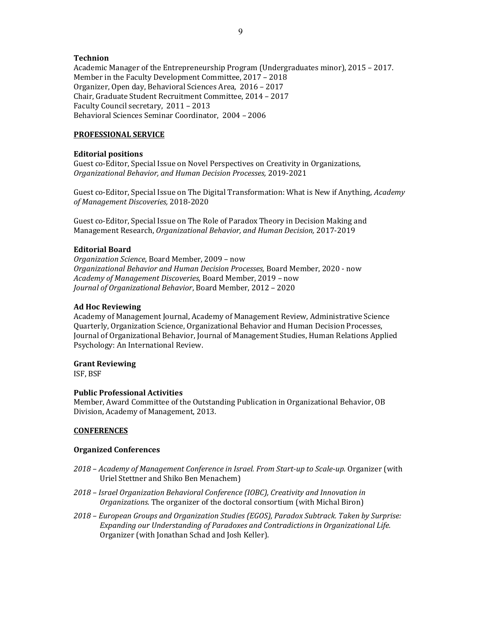### Technion

Academic Manager of the Entrepreneurship Program (Undergraduates minor), 2015 – 2017. Member in the Faculty Development Committee, 2017 – 2018 Organizer, Open day, Behavioral Sciences Area, 2016 – 2017 Chair, Graduate Student Recruitment Committee, 2014 – 2017 Faculty Council secretary, 2011 – 2013 Behavioral Sciences Seminar Coordinator, 2004 – 2006

# PROFESSIONAL SERVICE

# Editorial positions

Guest co-Editor, Special Issue on Novel Perspectives on Creativity in Organizations, Organizational Behavior, and Human Decision Processes, 2019-2021

Guest co-Editor, Special Issue on The Digital Transformation: What is New if Anything, *Academy* of Management Discoveries, 2018-2020

Guest co-Editor, Special Issue on The Role of Paradox Theory in Decision Making and Management Research, Organizational Behavior, and Human Decision, 2017-2019

## Editorial Board

Organization Science, Board Member, 2009 – now Organizational Behavior and Human Decision Processes, Board Member, 2020 - now Academy of Management Discoveries, Board Member, 2019 – now Journal of Organizational Behavior, Board Member, 2012 – 2020

### Ad Hoc Reviewing

Academy of Management Journal, Academy of Management Review, Administrative Science Quarterly, Organization Science, Organizational Behavior and Human Decision Processes, Journal of Organizational Behavior, Journal of Management Studies, Human Relations Applied Psychology: An International Review.

# Grant Reviewing

ISF, BSF

#### Public Professional Activities

Member, Award Committee of the Outstanding Publication in Organizational Behavior, OB Division, Academy of Management, 2013.

# **CONFERENCES**

#### Organized Conferences

- 2018 Academy of Management Conference in Israel. From Start-up to Scale-up. Organizer (with Uriel Stettner and Shiko Ben Menachem)
- 2018 Israel Organization Behavioral Conference (IOBC), Creativity and Innovation in Organizations. The organizer of the doctoral consortium (with Michal Biron)
- 2018 European Groups and Organization Studies (EGOS), Paradox Subtrack. Taken by Surprise: Expanding our Understanding of Paradoxes and Contradictions in Organizational Life. Organizer (with Jonathan Schad and Josh Keller).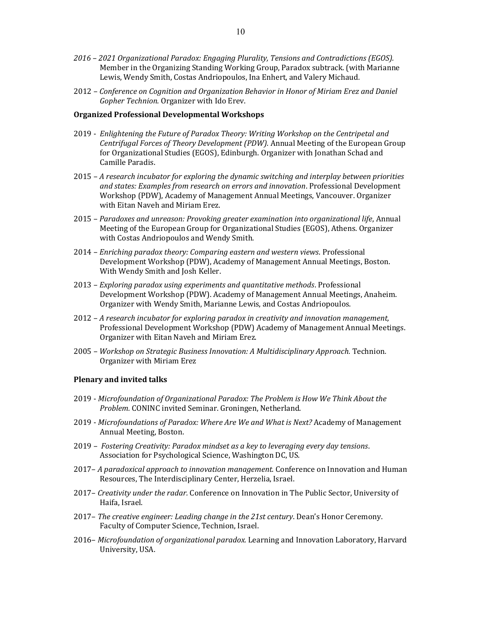- 2016 2021 Organizational Paradox: Engaging Plurality, Tensions and Contradictions (EGOS). Member in the Organizing Standing Working Group, Paradox subtrack. (with Marianne Lewis, Wendy Smith, Costas Andriopoulos, Ina Enhert, and Valery Michaud.
- 2012 Conference on Cognition and Organization Behavior in Honor of Miriam Erez and Daniel Gopher Technion. Organizer with Ido Erev.

#### Organized Professional Developmental Workshops

- 2019 Enlightening the Future of Paradox Theory: Writing Workshop on the Centripetal and Centrifugal Forces of Theory Development (PDW). Annual Meeting of the European Group for Organizational Studies (EGOS), Edinburgh. Organizer with Jonathan Schad and Camille Paradis.
- 2015 A research incubator for exploring the dynamic switching and interplay between priorities and states: Examples from research on errors and innovation. Professional Development Workshop (PDW), Academy of Management Annual Meetings, Vancouver. Organizer with Eitan Naveh and Miriam Erez.
- 2015 Paradoxes and unreason: Provoking greater examination into organizational life, Annual Meeting of the European Group for Organizational Studies (EGOS), Athens. Organizer with Costas Andriopoulos and Wendy Smith.
- 2014 Enriching paradox theory: Comparing eastern and western views. Professional Development Workshop (PDW), Academy of Management Annual Meetings, Boston. With Wendy Smith and Josh Keller.
- 2013 Exploring paradox using experiments and quantitative methods. Professional Development Workshop (PDW). Academy of Management Annual Meetings, Anaheim. Organizer with Wendy Smith, Marianne Lewis, and Costas Andriopoulos.
- 2012 A research incubator for exploring paradox in creativity and innovation management, Professional Development Workshop (PDW) Academy of Management Annual Meetings. Organizer with Eitan Naveh and Miriam Erez.
- 2005 Workshop on Strategic Business Innovation: A Multidisciplinary Approach. Technion. Organizer with Miriam Erez

#### Plenary and invited talks

- 2019 Microfoundation of Organizational Paradox: The Problem is How We Think About the Problem. CONINC invited Seminar. Groningen, Netherland.
- 2019 Microfoundations of Paradox: Where Are We and What is Next? Academy of Management Annual Meeting, Boston.
- 2019 Fostering Creativity: Paradox mindset as a key to leveraging every day tensions. Association for Psychological Science, Washington DC, US.
- 2017– A paradoxical approach to innovation management. Conference on Innovation and Human Resources, The Interdisciplinary Center, Herzelia, Israel.
- 2017– Creativity under the radar. Conference on Innovation in The Public Sector, University of Haifa, Israel.
- 2017– The creative engineer: Leading change in the 21st century. Dean's Honor Ceremony. Faculty of Computer Science, Technion, Israel.
- 2016– Microfoundation of organizational paradox. Learning and Innovation Laboratory, Harvard University, USA.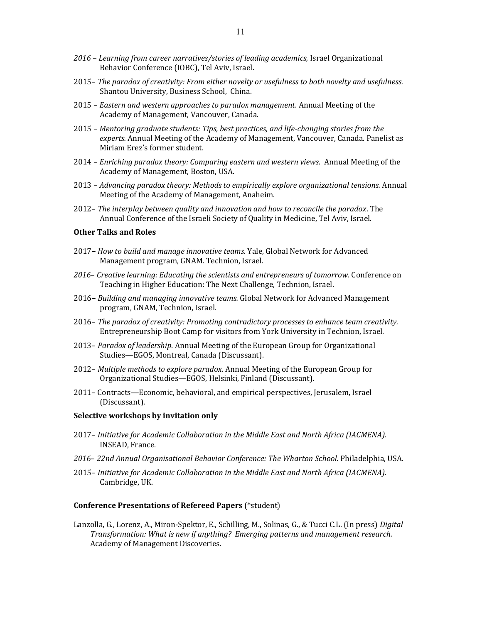- 2016 Learning from career narratives/stories of leading academics, Israel Organizational Behavior Conference (IOBC), Tel Aviv, Israel.
- 2015– The paradox of creativity: From either novelty or usefulness to both novelty and usefulness. Shantou University, Business School, China.
- 2015 Eastern and western approaches to paradox management. Annual Meeting of the Academy of Management, Vancouver, Canada.
- 2015 Mentoring graduate students: Tips, best practices, and life-changing stories from the experts. Annual Meeting of the Academy of Management, Vancouver, Canada. Panelist as Miriam Erez's former student.
- 2014 Enriching paradox theory: Comparing eastern and western views. Annual Meeting of the Academy of Management, Boston, USA.
- 2013 Advancing paradox theory: Methods to empirically explore organizational tensions. Annual Meeting of the Academy of Management, Anaheim.
- 2012– The interplay between quality and innovation and how to reconcile the paradox. The Annual Conference of the Israeli Society of Quality in Medicine, Tel Aviv, Israel.

#### Other Talks and Roles

- 2017– How to build and manage innovative teams. Yale, Global Network for Advanced Management program, GNAM. Technion, Israel.
- 2016– Creative learning: Educating the scientists and entrepreneurs of tomorrow. Conference on Teaching in Higher Education: The Next Challenge, Technion, Israel.
- 2016– Building and managing innovative teams. Global Network for Advanced Management program, GNAM, Technion, Israel.
- 2016– The paradox of creativity: Promoting contradictory processes to enhance team creativity. Entrepreneurship Boot Camp for visitors from York University in Technion, Israel.
- 2013– Paradox of leadership. Annual Meeting of the European Group for Organizational Studies—EGOS, Montreal, Canada (Discussant).
- 2012– Multiple methods to explore paradox. Annual Meeting of the European Group for Organizational Studies—EGOS, Helsinki, Finland (Discussant).
- 2011– Contracts—Economic, behavioral, and empirical perspectives, Jerusalem, Israel (Discussant).

#### Selective workshops by invitation only

- 2017– Initiative for Academic Collaboration in the Middle East and North Africa (IACMENA). INSEAD, France.
- 2016– 22nd Annual Organisational Behavior Conference: The Wharton School. Philadelphia, USA.
- 2015– Initiative for Academic Collaboration in the Middle East and North Africa (IACMENA). Cambridge, UK.

#### Conference Presentations of Refereed Papers (\*student)

Lanzolla, G., Lorenz, A., Miron-Spektor, E., Schilling, M., Solinas, G., & Tucci C.L. (In press) Digital Transformation: What is new if anything? Emerging patterns and management research. Academy of Management Discoveries.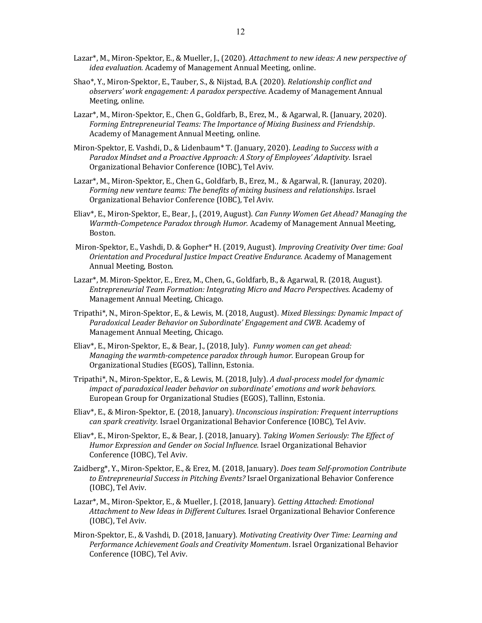- Lazar<sup>\*</sup>, M., Miron-Spektor, E., & Mueller, J., (2020). Attachment to new ideas: A new perspective of idea evaluation. Academy of Management Annual Meeting, online.
- Shao\*, Y., Miron-Spektor, E., Tauber, S., & Nijstad, B.A. (2020). Relationship conflict and observers' work engagement: A paradox perspective. Academy of Management Annual Meeting, online.
- Lazar\*, M., Miron-Spektor, E., Chen G., Goldfarb, B., Erez, M., & Agarwal, R. (January, 2020). Forming Entrepreneurial Teams: The Importance of Mixing Business and Friendship. Academy of Management Annual Meeting, online.
- Miron-Spektor, E. Vashdi, D., & Lidenbaum<sup>\*</sup> T. (January, 2020). *Leading to Success with a* Paradox Mindset and a Proactive Approach: A Story of Employees' Adaptivity. Israel Organizational Behavior Conference (IOBC), Tel Aviv.
- Lazar\*, M., Miron-Spektor, E., Chen G., Goldfarb, B., Erez, M., & Agarwal, R. (Januray, 2020). Forming new venture teams: The benefits of mixing business and relationships. Israel Organizational Behavior Conference (IOBC), Tel Aviv.
- Eliav\*, E., Miron-Spektor, E., Bear, J., (2019, August). Can Funny Women Get Ahead? Managing the Warmth-Competence Paradox through Humor. Academy of Management Annual Meeting, Boston.
- Miron-Spektor, E., Vashdi, D. & Gopher\* H. (2019, August). Improving Creativity Over time: Goal Orientation and Procedural Justice Impact Creative Endurance. Academy of Management Annual Meeting, Boston.
- Lazar\*, M. Miron-Spektor, E., Erez, M., Chen, G., Goldfarb, B., & Agarwal, R. (2018, August). Entrepreneurial Team Formation: Integrating Micro and Macro Perspectives. Academy of Management Annual Meeting, Chicago.
- Tripathi\*, N., Miron-Spektor, E., & Lewis, M. (2018, August). Mixed Blessings: Dynamic Impact of Paradoxical Leader Behavior on Subordinate' Engagement and CWB. Academy of Management Annual Meeting, Chicago.
- Eliav\*, E., Miron-Spektor, E., & Bear, J., (2018, July). Funny women can get ahead: Managing the warmth-competence paradox through humor. European Group for Organizational Studies (EGOS), Tallinn, Estonia.
- Tripathi\*, N., Miron-Spektor, E., & Lewis, M. (2018, July). A dual-process model for dynamic impact of paradoxical leader behavior on subordinate' emotions and work behaviors. European Group for Organizational Studies (EGOS), Tallinn, Estonia.
- Eliav\*, E., & Miron-Spektor, E. (2018, January). Unconscious inspiration: Frequent interruptions can spark creativity. Israel Organizational Behavior Conference (IOBC), Tel Aviv.
- Eliav\*, E., Miron-Spektor, E., & Bear, J. (2018, January). Taking Women Seriously: The Effect of Humor Expression and Gender on Social Influence. Israel Organizational Behavior Conference (IOBC), Tel Aviv.
- Zaidberg\*, Y., Miron-Spektor, E., & Erez, M. (2018, January). Does team Self-promotion Contribute to Entrepreneurial Success in Pitching Events? Israel Organizational Behavior Conference (IOBC), Tel Aviv.
- Lazar\*, M., Miron-Spektor, E., & Mueller, J. (2018, January). Getting Attached: Emotional Attachment to New Ideas in Different Cultures. Israel Organizational Behavior Conference (IOBC), Tel Aviv.
- Miron-Spektor, E., & Vashdi, D. (2018, January). Motivating Creativity Over Time: Learning and Performance Achievement Goals and Creativity Momentum. Israel Organizational Behavior Conference (IOBC), Tel Aviv.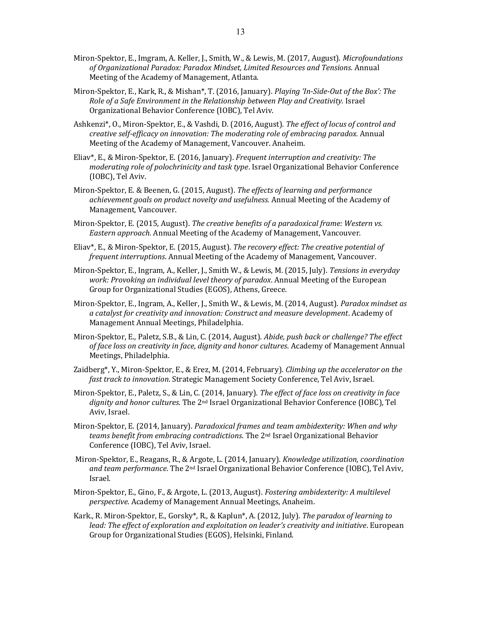- Miron-Spektor, E., Imgram, A. Keller, J., Smith, W., & Lewis, M. (2017, August). *Microfoundations* of Organizational Paradox: Paradox Mindset, Limited Resources and Tensions. Annual Meeting of the Academy of Management, Atlanta.
- Miron-Spektor, E., Kark, R., & Mishan\*, T. (2016, January). Playing 'In-Side-Out of the Box': The Role of a Safe Environment in the Relationship between Play and Creativity. Israel Organizational Behavior Conference (IOBC), Tel Aviv.
- Ashkenzi\*, O., Miron-Spektor, E., & Vashdi, D. (2016, August). The effect of locus of control and creative self-efficacy on innovation: The moderating role of embracing paradox. Annual Meeting of the Academy of Management, Vancouver. Anaheim.
- Eliav\*, E., & Miron-Spektor, E. (2016, January). Frequent interruption and creativity: The moderating role of polochrinicity and task type. Israel Organizational Behavior Conference (IOBC), Tel Aviv.
- Miron-Spektor, E. & Beenen, G. (2015, August). The effects of learning and performance achievement goals on product novelty and usefulness. Annual Meeting of the Academy of Management, Vancouver.
- Miron-Spektor, E. (2015, August). The creative benefits of a paradoxical frame: Western vs. Eastern approach. Annual Meeting of the Academy of Management, Vancouver.
- Eliav\*, E., & Miron-Spektor, E. (2015, August). The recovery effect: The creative potential of frequent interruptions. Annual Meeting of the Academy of Management, Vancouver.
- Miron-Spektor, E., Ingram, A., Keller, J., Smith W., & Lewis, M. (2015, July). Tensions in everyday work: Provoking an individual level theory of paradox. Annual Meeting of the European Group for Organizational Studies (EGOS), Athens, Greece.
- Miron-Spektor, E., Ingram, A., Keller, J., Smith W., & Lewis, M. (2014, August). Paradox mindset as a catalyst for creativity and innovation: Construct and measure development. Academy of Management Annual Meetings, Philadelphia.
- Miron-Spektor, E., Paletz, S.B., & Lin, C. (2014, August). Abide, push back or challenge? The effect of face loss on creativity in face, dignity and honor cultures. Academy of Management Annual Meetings, Philadelphia.
- Zaidberg\*, Y., Miron-Spektor, E., & Erez, M. (2014, February). Climbing up the accelerator on the fast track to innovation. Strategic Management Society Conference, Tel Aviv, Israel.
- Miron-Spektor, E., Paletz, S., & Lin, C. (2014, January). The effect of face loss on creativity in face dignity and honor cultures. The 2<sup>nd</sup> Israel Organizational Behavior Conference (IOBC), Tel Aviv, Israel.
- Miron-Spektor, E. (2014, January). Paradoxical frames and team ambidexterity: When and why teams benefit from embracing contradictions. The 2nd Israel Organizational Behavior Conference (IOBC), Tel Aviv, Israel.
- Miron-Spektor, E., Reagans, R., & Argote, L. (2014, January). Knowledge utilization, coordination and team performance. The 2<sup>nd</sup> Israel Organizational Behavior Conference (IOBC), Tel Aviv, Israel.
- Miron-Spektor, E., Gino, F., & Argote, L. (2013, August). Fostering ambidexterity: A multilevel perspective. Academy of Management Annual Meetings, Anaheim.
- Kark., R. Miron-Spektor, E., Gorsky\*, R., & Kaplun\*, A. (2012, July). The paradox of learning to lead: The effect of exploration and exploitation on leader's creativity and initiative. European Group for Organizational Studies (EGOS), Helsinki, Finland.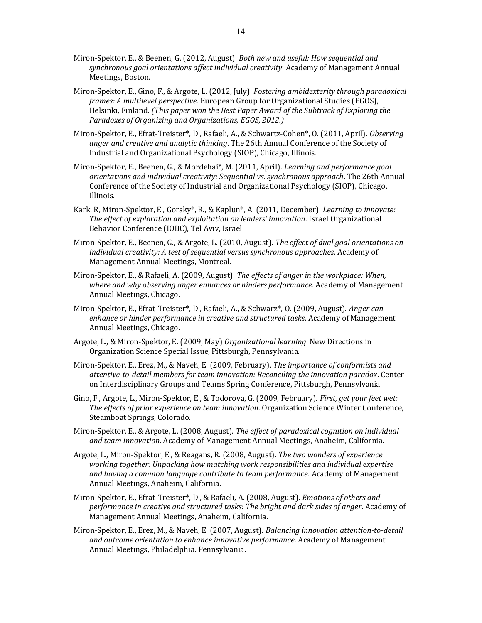- Miron-Spektor, E., & Beenen, G. (2012, August). Both new and useful: How sequential and synchronous goal orientations affect individual creativity. Academy of Management Annual Meetings, Boston.
- Miron-Spektor, E., Gino, F., & Argote, L. (2012, July). Fostering ambidexterity through paradoxical frames: A multilevel perspective. European Group for Organizational Studies (EGOS), Helsinki, Finland. (This paper won the Best Paper Award of the Subtrack of Exploring the Paradoxes of Organizing and Organizations, EGOS, 2012.)
- Miron-Spektor, E., Efrat-Treister\*, D., Rafaeli, A., & Schwartz-Cohen\*, O. (2011, April). Observing anger and creative and analytic thinking. The 26th Annual Conference of the Society of Industrial and Organizational Psychology (SIOP), Chicago, Illinois.
- Miron-Spektor, E., Beenen, G., & Mordehai\*, M. (2011, April). Learning and performance goal orientations and individual creativity: Sequential vs. synchronous approach. The 26th Annual Conference of the Society of Industrial and Organizational Psychology (SIOP), Chicago, Illinois.
- Kark, R, Miron-Spektor, E., Gorsky\*, R., & Kaplun\*, A. (2011, December). *Learning to innovate:* The effect of exploration and exploitation on leaders' innovation. Israel Organizational Behavior Conference (IOBC), Tel Aviv, Israel.
- Miron-Spektor, E., Beenen, G., & Argote, L. (2010, August). The effect of dual goal orientations on individual creativity: A test of sequential versus synchronous approaches. Academy of Management Annual Meetings, Montreal.
- Miron-Spektor, E., & Rafaeli, A. (2009, August). The effects of anger in the workplace: When, where and why observing anger enhances or hinders performance. Academy of Management Annual Meetings, Chicago.
- Miron-Spektor, E., Efrat-Treister\*, D., Rafaeli, A., & Schwarz\*, O. (2009, August). Anger can enhance or hinder performance in creative and structured tasks. Academy of Management Annual Meetings, Chicago.
- Argote, L., & Miron-Spektor, E. (2009, May) Organizational learning. New Directions in Organization Science Special Issue, Pittsburgh, Pennsylvania.
- Miron-Spektor, E., Erez, M., & Naveh, E. (2009, February). The importance of conformists and attentive-to-detail members for team innovation: Reconciling the innovation paradox. Center on Interdisciplinary Groups and Teams Spring Conference, Pittsburgh, Pennsylvania.
- Gino, F., Argote, L., Miron-Spektor, E., & Todorova, G. (2009, February). First, get your feet wet: The effects of prior experience on team innovation. Organization Science Winter Conference, Steamboat Springs, Colorado.
- Miron-Spektor, E., & Argote, L. (2008, August). The effect of paradoxical cognition on individual and team innovation. Academy of Management Annual Meetings, Anaheim, California.
- Argote, L., Miron-Spektor, E., & Reagans, R. (2008, August). The two wonders of experience working together: Unpacking how matching work responsibilities and individual expertise and having a common language contribute to team performance. Academy of Management Annual Meetings, Anaheim, California.
- Miron-Spektor, E., Efrat-Treister\*, D., & Rafaeli, A. (2008, August). Emotions of others and performance in creative and structured tasks: The bright and dark sides of anger. Academy of Management Annual Meetings, Anaheim, California.
- Miron-Spektor, E., Erez, M., & Naveh, E. (2007, August). Balancing innovation attention-to-detail and outcome orientation to enhance innovative performance. Academy of Management Annual Meetings, Philadelphia. Pennsylvania.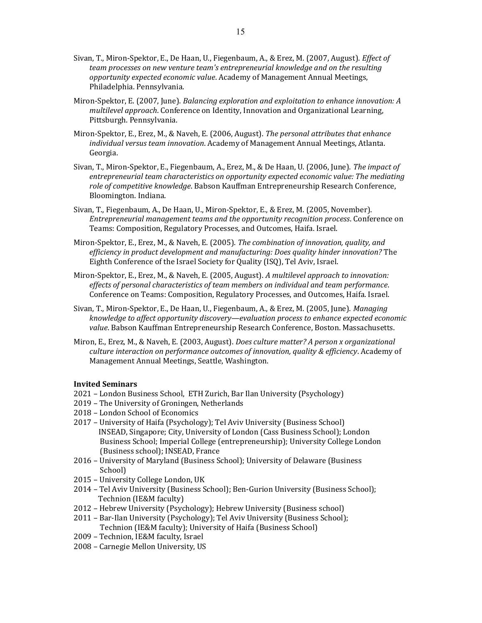- Sivan, T., Miron-Spektor, E., De Haan, U., Fiegenbaum, A., & Erez, M. (2007, August). *Effect of* team processes on new venture team's entrepreneurial knowledge and on the resulting opportunity expected economic value. Academy of Management Annual Meetings, Philadelphia. Pennsylvania.
- Miron-Spektor, E. (2007, June). Balancing exploration and exploitation to enhance innovation: A multilevel approach. Conference on Identity, Innovation and Organizational Learning, Pittsburgh. Pennsylvania.
- Miron-Spektor, E., Erez, M., & Naveh, E. (2006, August). The personal attributes that enhance individual versus team innovation. Academy of Management Annual Meetings, Atlanta. Georgia.
- Sivan, T., Miron-Spektor, E., Fiegenbaum, A., Erez, M., & De Haan, U. (2006, June). The impact of entrepreneurial team characteristics on opportunity expected economic value: The mediating role of competitive knowledge. Babson Kauffman Entrepreneurship Research Conference, Bloomington. Indiana.
- Sivan, T., Fiegenbaum, A., De Haan, U., Miron-Spektor, E., & Erez, M. (2005, November). Entrepreneurial management teams and the opportunity recognition process. Conference on Teams: Composition, Regulatory Processes, and Outcomes, Haifa. Israel.
- Miron-Spektor, E., Erez, M., & Naveh, E. (2005). The combination of innovation, quality, and efficiency in product development and manufacturing: Does quality hinder innovation? The Eighth Conference of the Israel Society for Quality (ISQ), Tel Aviv, Israel.
- Miron-Spektor, E., Erez, M., & Naveh, E. (2005, August). A multilevel approach to innovation: effects of personal characteristics of team members on individual and team performance. Conference on Teams: Composition, Regulatory Processes, and Outcomes, Haifa. Israel.
- Sivan, T., Miron-Spektor, E., De Haan, U., Fiegenbaum, A., & Erez, M. (2005, June). Managing knowledge to affect opportunity discovery—evaluation process to enhance expected economic value. Babson Kauffman Entrepreneurship Research Conference, Boston. Massachusetts.
- Miron, E., Erez, M., & Naveh, E. (2003, August). Does culture matter? A person x organizational culture interaction on performance outcomes of innovation, quality & efficiency. Academy of Management Annual Meetings, Seattle, Washington.

#### Invited Seminars

- 2021 London Business School, ETH Zurich, Bar Ilan University (Psychology)
- 2019 The University of Groningen, Netherlands
- 2018 London School of Economics
- 2017 University of Haifa (Psychology); Tel Aviv University (Business School) INSEAD, Singapore; City, University of London (Cass Business School); London Business School; Imperial College (entrepreneurship); University College London (Business school); INSEAD, France
- 2016 University of Maryland (Business School); University of Delaware (Business School)
- 2015 University College London, UK
- 2014 Tel Aviv University (Business School); Ben-Gurion University (Business School); Technion (IE&M faculty)
- 2012 Hebrew University (Psychology); Hebrew University (Business school)
- 2011 Bar-Ilan University (Psychology); Tel Aviv University (Business School); Technion (IE&M faculty); University of Haifa (Business School)
- 2009 Technion, IE&M faculty, Israel
- 2008 Carnegie Mellon University, US